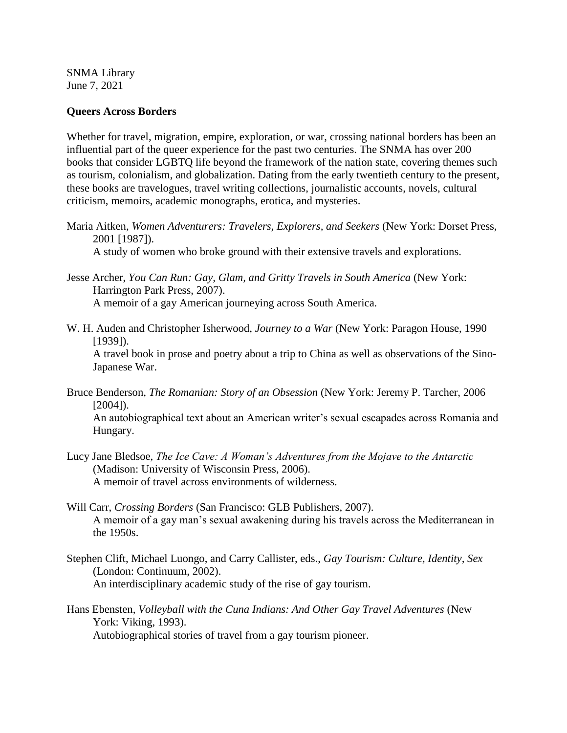SNMA Library June 7, 2021

## **Queers Across Borders**

Whether for travel, migration, empire, exploration, or war, crossing national borders has been an influential part of the queer experience for the past two centuries. The SNMA has over 200 books that consider LGBTQ life beyond the framework of the nation state, covering themes such as tourism, colonialism, and globalization. Dating from the early twentieth century to the present, these books are travelogues, travel writing collections, journalistic accounts, novels, cultural criticism, memoirs, academic monographs, erotica, and mysteries.

Maria Aitken, *Women Adventurers: Travelers, Explorers, and Seekers* (New York: Dorset Press, 2001 [1987]).

A study of women who broke ground with their extensive travels and explorations.

- Jesse Archer, *You Can Run: Gay, Glam, and Gritty Travels in South America* (New York: Harrington Park Press, 2007). A memoir of a gay American journeying across South America.
- W. H. Auden and Christopher Isherwood, *Journey to a War* (New York: Paragon House, 1990 [1939]).

A travel book in prose and poetry about a trip to China as well as observations of the Sino-Japanese War.

Bruce Benderson, *The Romanian: Story of an Obsession* (New York: Jeremy P. Tarcher, 2006  $[2004]$ .

An autobiographical text about an American writer's sexual escapades across Romania and Hungary.

- Lucy Jane Bledsoe, *The Ice Cave: A Woman's Adventures from the Mojave to the Antarctic*  (Madison: University of Wisconsin Press, 2006). A memoir of travel across environments of wilderness.
- Will Carr, *Crossing Borders* (San Francisco: GLB Publishers, 2007). A memoir of a gay man's sexual awakening during his travels across the Mediterranean in the 1950s.
- Stephen Clift, Michael Luongo, and Carry Callister, eds., *Gay Tourism: Culture, Identity, Sex*  (London: Continuum, 2002). An interdisciplinary academic study of the rise of gay tourism.
- Hans Ebensten, *Volleyball with the Cuna Indians: And Other Gay Travel Adventures* (New York: Viking, 1993). Autobiographical stories of travel from a gay tourism pioneer.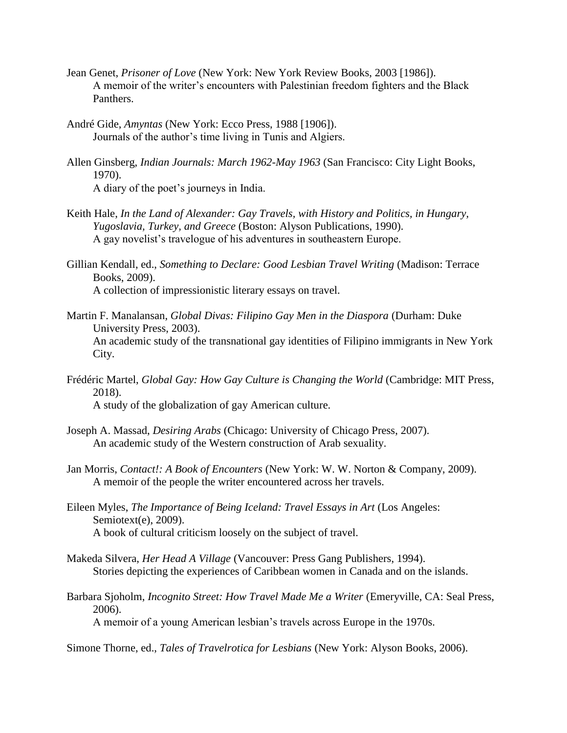- Jean Genet, *Prisoner of Love* (New York: New York Review Books, 2003 [1986]). A memoir of the writer's encounters with Palestinian freedom fighters and the Black Panthers.
- André Gide, *Amyntas* (New York: Ecco Press, 1988 [1906]). Journals of the author's time living in Tunis and Algiers.
- Allen Ginsberg, *Indian Journals: March 1962-May 1963* (San Francisco: City Light Books, 1970). A diary of the poet's journeys in India.
- Keith Hale, *In the Land of Alexander: Gay Travels, with History and Politics, in Hungary, Yugoslavia, Turkey, and Greece* (Boston: Alyson Publications, 1990). A gay novelist's travelogue of his adventures in southeastern Europe.
- Gillian Kendall, ed., *Something to Declare: Good Lesbian Travel Writing* (Madison: Terrace Books, 2009). A collection of impressionistic literary essays on travel.
- Martin F. Manalansan, *Global Divas: Filipino Gay Men in the Diaspora* (Durham: Duke University Press, 2003). An academic study of the transnational gay identities of Filipino immigrants in New York City.
- Frédéric Martel, *Global Gay: How Gay Culture is Changing the World* (Cambridge: MIT Press, 2018). A study of the globalization of gay American culture.
- Joseph A. Massad, *Desiring Arabs* (Chicago: University of Chicago Press, 2007).
	- An academic study of the Western construction of Arab sexuality.
- Jan Morris, *Contact!: A Book of Encounters* (New York: W. W. Norton & Company, 2009). A memoir of the people the writer encountered across her travels.
- Eileen Myles, *The Importance of Being Iceland: Travel Essays in Art* (Los Angeles: Semiotext(e), 2009). A book of cultural criticism loosely on the subject of travel.
- Makeda Silvera, *Her Head A Village* (Vancouver: Press Gang Publishers, 1994). Stories depicting the experiences of Caribbean women in Canada and on the islands.
- Barbara Sjoholm, *Incognito Street: How Travel Made Me a Writer* (Emeryville, CA: Seal Press, 2006).

A memoir of a young American lesbian's travels across Europe in the 1970s.

Simone Thorne, ed., *Tales of Travelrotica for Lesbians* (New York: Alyson Books, 2006).